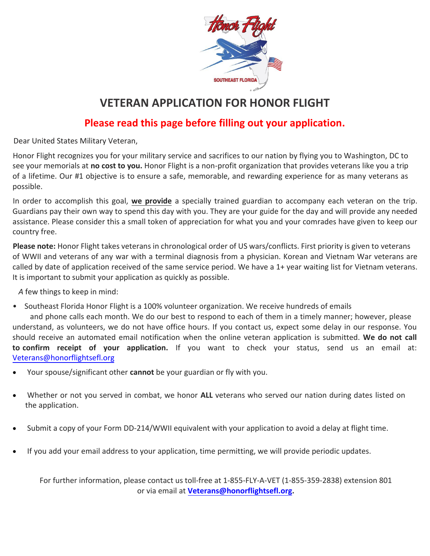

## **VETERAN APPLICATION FOR HONOR FLIGHT**

### **Please read this page before filling out your application.**

Dear United States Military Veteran,

Honor Flight recognizes you for your military service and sacrifices to our nation by flying you to Washington, DC to see your memorials at **no cost to you.** Honor Flight is a non-profit organization that provides veterans like you a trip of a lifetime. Our #1 objective is to ensure a safe, memorable, and rewarding experience for as many veterans as possible.

In order to accomplish this goal, **we provide** a specially trained guardian to accompany each veteran on the trip. Guardians pay their own way to spend this day with you. They are your guide for the day and will provide any needed assistance. Please consider this a small token of appreciation for what you and your comrades have given to keep our country free.

**Please note:** Honor Flight takes veterans in chronological order of US wars/conflicts. First priority is given to veterans of WWII and veterans of any war with a terminal diagnosis from a physician. Korean and Vietnam War veterans are called by date of application received of the same service period. We have a 1+ year waiting list for Vietnam veterans. It is important to submit your application as quickly as possible.

*A* few things to keep in mind:

• Southeast Florida Honor Flight is a 100% volunteer organization. We receive hundreds of emails

and phone calls each month. We do our best to respond to each of them in a timely manner; however, please understand, as volunteers, we do not have office hours. If you contact us, expect some delay in our response. You should receive an automated email notification when the online veteran application is submitted. **We do not call to confirm receipt of your application.** If you want to check your status, send us an email at: Vet[erans@honorflightsefl.org](mailto:Veterans@honorflightsefl.org)

- Your spouse/significant other **cannot** be your guardian or fly with you.
- Whether or not you served in combat, we honor **ALL** veterans who served our nation during dates listed on the application.
- Submit a copy of your Form DD-214/WWII equivalent with your application to avoid a delay at flight time.
- If you add your email address to your application, time permitting, we will provide periodic updates.

For further information, please contact us toll-free at 1-855-FLY-A-VET (1-855-359-2838) extension 801 or via email at **[Veterans@honorflights](mailto:Veterans@honorflightsefl.org)efl.org.**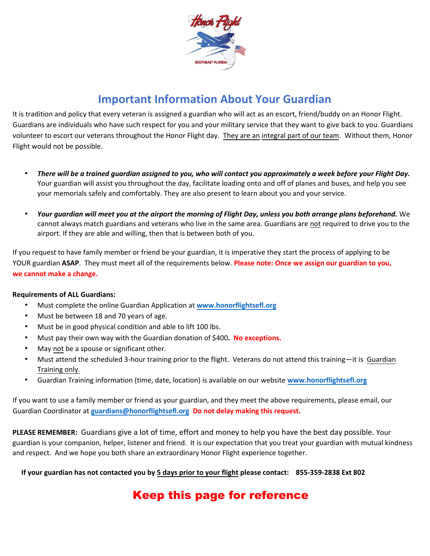

# **Important Information About Your Guardian**

It is tradition and policy that every veteran is assigned a guardian who will act as an escort, friend/buddy on an Honor Flight. Guardians are individuals who have such respect for you and your military service that they want to give back to you. Guardians volunteer to escort our veterans throughout the Honor Flight day. They are an integral part of our team. Without them, Honor Flight would not be possible.

- *There will be a trained guardian assigned to you, who will contact you approximately a week before your Flight Day.* Your guardian will assist you throughout the day, facilitate loading onto and off of planes and buses, and help you see your memorials safely and comfortably. They are also present to learn about you and your service.
- *Your guardian will meet you at the airport the morning of Flight Day, unless you both arrange plans beforehand.* We cannot always match guardians and veterans who live in the same area. Guardians are not required to drive you to the airport. If they are able and willing, then that is between both of you.

If you request to have family member or friend be your guardian, it is imperative they start the process of applying to be YOUR guardian **ASAP**. They must meet all of the requirements below. **Please note: Once we assign our guardian to you, we cannot make a change.** 

#### **Requirements of ALL Guardians:**

- Must complete the online Guardian Application at **www.honorflightsefl.org**
- Must be between 18 and 70 years of age.
- Must be in good physical condition and able to lift 100 lbs.
- Must pay their own way with the Guardian donation of \$400**. No exceptions.**
- May not be a spouse or significant other.
- Must attend the scheduled 3-hour training prior to the flight. Veterans do not attend this training—it is Guardian Training only.
- Guardian Training information (time, date, location) is available on our website **www.honorflightsefl.org**

If you want to use a family member or friend as your guardian, and they meet the above requirements, please email, our Guardian Coordinator at **guardians@honorflightsefl.org Do not delay making this request.** 

**PLEASE REMEMBER:** Guardians give a lot of time, effort and money to help you have the best day possible. Your guardian is your companion, helper, listener and friend. It is our expectation that you treat your guardian with mutual kindness and respect. And we hope you both share an extraordinary Honor Flight experience together.

**If your guardian has not contacted you by 5 days prior to your flight please contact: 855-359-2838 Ext 802** 

## Keep this page for reference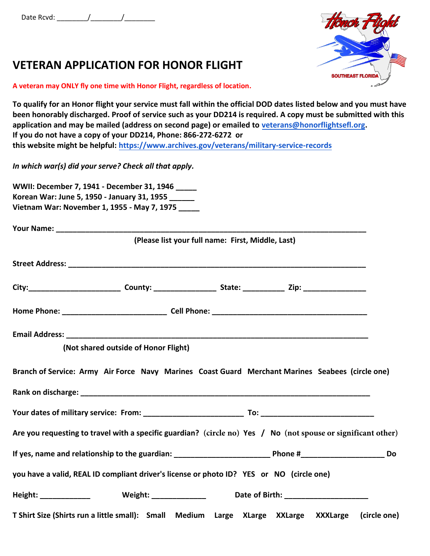### **VETERAN APPLICATION FOR HONOR FLIGHT**

**SOUTHEAST FLORID** 

**A veteran may ONLY fly one time with Honor Flight, regardless of location.**

**To qualify for an Honor flight your service must fall within the official DOD dates listed below and you must have been honorably discharged. Proof of service such as your DD214 is required. A copy must be submitted with this application and may be mailed (address on second page) or emailed to [veterans@honorflightsefl.org.](mailto:veterans@honorflightsefl.org) If you do not have a copy of your DD214, Phone: 866-272-6272 or this website might be helpful:<https://www.archives.gov/veterans/military-service-records>**

*In which war(s) did your serve? Check all that apply.* 

WWII: December 7, 1941 - December 31, 1946 **Korean War: June 5, 1950 - January 31, 1955 \_\_\_\_\_\_ Vietnam War: November 1, 1955 - May 7, 1975 \_\_\_\_\_** 

| <b>Your Name:</b> The Management of the Second Second Second Second Second Second Second Second Second Second Second Second Second Second Second Second Second Second Second Second Second Second Second Second Second Second Secon |                                                                                                                  |                                                   |  |  |
|-------------------------------------------------------------------------------------------------------------------------------------------------------------------------------------------------------------------------------------|------------------------------------------------------------------------------------------------------------------|---------------------------------------------------|--|--|
|                                                                                                                                                                                                                                     |                                                                                                                  | (Please list your full name: First, Middle, Last) |  |  |
|                                                                                                                                                                                                                                     |                                                                                                                  |                                                   |  |  |
|                                                                                                                                                                                                                                     | City:__________________________________County: ________________________State: ________________________________   |                                                   |  |  |
|                                                                                                                                                                                                                                     |                                                                                                                  |                                                   |  |  |
|                                                                                                                                                                                                                                     |                                                                                                                  |                                                   |  |  |
|                                                                                                                                                                                                                                     | (Not shared outside of Honor Flight)                                                                             |                                                   |  |  |
|                                                                                                                                                                                                                                     | Branch of Service: Army Air Force Navy Marines Coast Guard Merchant Marines Seabees (circle one)                 |                                                   |  |  |
|                                                                                                                                                                                                                                     |                                                                                                                  |                                                   |  |  |
|                                                                                                                                                                                                                                     |                                                                                                                  |                                                   |  |  |
|                                                                                                                                                                                                                                     | Are you requesting to travel with a specific guardian? (circle no) Yes $\,$ No (not spouse or significant other) |                                                   |  |  |
|                                                                                                                                                                                                                                     |                                                                                                                  |                                                   |  |  |
|                                                                                                                                                                                                                                     | you have a valid, REAL ID compliant driver's license or photo ID? YES or NO (circle one)                         |                                                   |  |  |
|                                                                                                                                                                                                                                     | Height: _______________ Weight: _____________ Date of Birth: ___________________                                 |                                                   |  |  |
|                                                                                                                                                                                                                                     | T Shirt Size (Shirts run a little small): Small Medium Large XLarge XXLarge XXXLarge (circle one)                |                                                   |  |  |